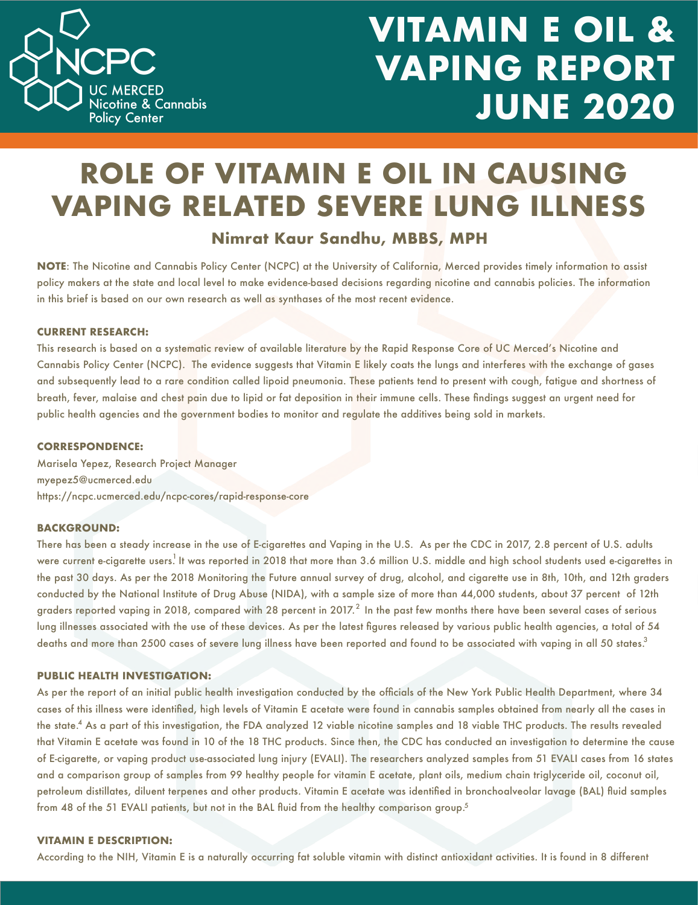

# **VITAMIN E OIL & VAPING REPORT JUNE 2020**

### **ROLE OF VITAMIN E OIL IN CAUSING VAPING RELATED SEVERE LUNG ILLNESS**

### **Nimrat Kaur Sandhu, MBBS, MPH**

**NOTE**: The Nicotine and Cannabis Policy Center (NCPC) at the University of California, Merced provides timely information to assist policy makers at the state and local level to make evidence-based decisions regarding nicotine and cannabis policies. The information in this brief is based on our own research as well as synthases of the most recent evidence.

#### **CURRENT RESEARCH:**

This research is based on a systematic review of available literature by the Rapid Response Core of UC Merced's Nicotine and Cannabis Policy Center (NCPC). The evidence suggests that Vitamin E likely coats the lungs and interferes with the exchange of gases and subsequently lead to a rare condition called lipoid pneumonia. These patients tend to present with cough, fatigue and shortness of breath, fever, malaise and chest pain due to lipid or fat deposition in their immune cells. These findings suggest an urgent need for public health agencies and the government bodies to monitor and regulate the additives being sold in markets.

#### **CORRESPONDENCE:**

Marisela Yepez, Research Project Manager myepez5@ucmerced.edu https://ncpc.ucmerced.edu/ncpc-cores/rapid-response-core

#### **BACKGROUND:**

There has been a steady increase in the use of E-cigarettes and Vaping in the U.S. As per the CDC in 2017, 2.8 percent of U.S. adults were current e-cigarette users. It was reported in 2018 that more than 3.6 million U.S. middle and high school students used e-cigarettes in the past 30 days. As per the 2018 Monitoring the Future annual survey of drug, alcohol, and cigarette use in 8th, 10th, and 12th graders conducted by the National Institute of Drug Abuse (NIDA), with a sample size of more than 44,000 students, about 37 percent of 12th graders reported vaping in 2018, compared with 28 percent in 2017. $^2$  In the past few months there have been several cases of serious lung illnesses associated with the use of these devices. As per the latest figures released by various public health agencies, a total of 54 deaths and more than 2500 cases of severe lung illness have been reported and found to be associated with vaping in all 50 states. $^{\rm 3}$ 

#### **PUBLIC HEALTH INVESTIGATION:**

As per the report of an initial public health investigation conducted by the officials of the New York Public Health Department, where 34 cases of this illness were identified, high levels of Vitamin E acetate were found in cannabis samples obtained from nearly all the cases in the state. $^4$  As a part of this investigation, the FDA analyzed 12 viable nicotine samples and 18 viable THC products. The results revealed that Vitamin E acetate was found in 10 of the 18 THC products. Since then, the CDC has conducted an investigation to determine the cause of E-cigarette, or vaping product use-associated lung injury (EVALI). The researchers analyzed samples from 51 EVALI cases from 16 states and a comparison group of samples from 99 healthy people for vitamin E acetate, plant oils, medium chain triglyceride oil, coconut oil, petroleum distillates, diluent terpenes and other products. Vitamin E acetate was identified in bronchoalveolar lavage (BAL) fluid samples from 48 of the 51 EVALI patients, but not in the BAL fluid from the healthy comparison group.<sup>5</sup>

#### **VITAMIN E DESCRIPTION:**

According to the NIH, Vitamin E is a naturally occurring fat soluble vitamin with distinct antioxidant activities. It is found in 8 different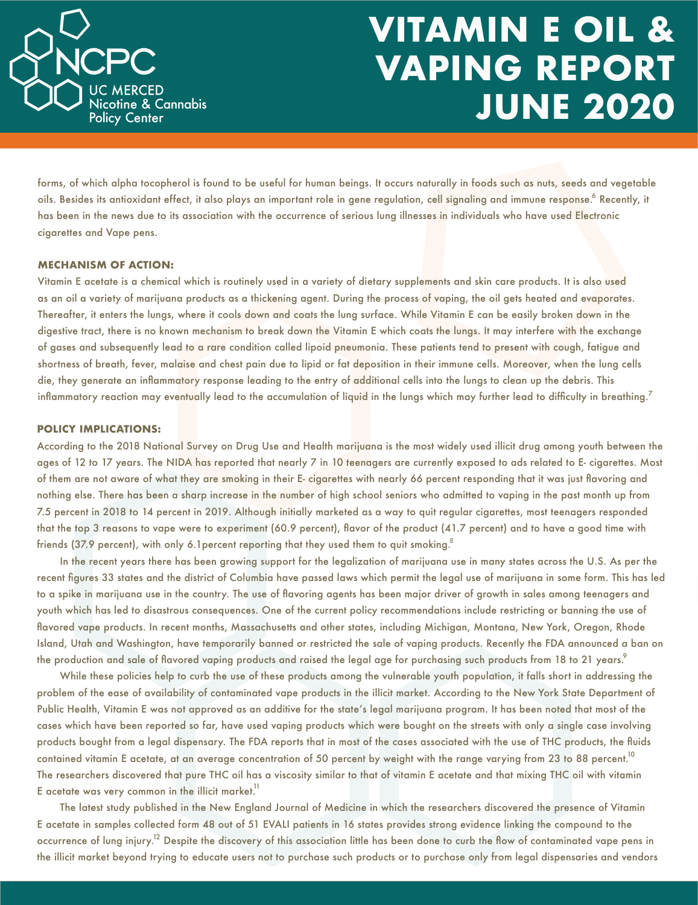

## **VITAMIN E OIL & VAPING REPORT JUNE 2020**

forms, of which alpha tocopherol is found to be useful for human beings. It occurs naturally in foods such as nuts, seeds and vegetable oils. Besides its antioxidant effect, it also plays an important role in gene regulation, cell signaling and immune response.<sup>6</sup> Recently, it has been in the news due to its association with the occurrence of serious lung illnesses in individuals who have used Electronic cigarettes and Vape pens.

#### **MECHANISM OF ACTION:**

Vitamin E acetate is a chemical which is routinely used in a variety of dietary supplements and skin care products. It is also used as an oil a variety of marijuana products as a thickening agent. During the process of vaping, the oil gets heated and evaporates. Thereafter, it enters the lungs, where it cools down and coats the lung surface. While Vitamin E can be easily broken down in the digestive tract, there is no known mechanism to break down the Vitamin E which coats the lungs. It may interfere with the exchange of gases and subsequently lead to a rare condition called lipoid pneumonia. These patients tend to present with cough, fatigue and shortness of breath, fever, malaise and chest pain due to lipid or fat deposition in their immune cells. Moreover, when the lung cells die, they generate an inflammatory response leading to the entry of additional cells into the lungs to clean up the debris. This inflammatory reaction may eventually lead to the accumulation of liquid in the lungs which may further lead to difficulty in breathing. $^7$ 

#### **POLICY IMPLICATIONS:**

According to the 2018 National Survey on Drug Use and Health marijuana is the most widely used illicit drug among youth between the ages of 12 to 17 years. The NIDA has reported that nearly 7 in 10 teenagers are currently exposed to ads related to E- cigarettes. Most of them are not aware of what they are smoking in their E- cigarettes with nearly 66 percent responding that it was just flavoring and nothing else. There has been a sharp increase in the number of high school seniors who admitted to vaping in the past month up from 7.5 percent in 2018 to 14 percent in 2019. Although initially marketed as a way to quit regular cigarettes, most teenagers responded that the top 3 reasons to vape were to experiment (60.9 percent), flavor of the product (41.7 percent) and to have a good time with friends (37.9 percent), with only 6.1 percent reporting that they used them to quit smoking. $^{\rm 8}$ 

In the recent years there has been growing support for the legalization of marijuana use in many states across the U.S. As per the recent figures 33 states and the district of Columbia have passed laws which permit the legal use of marijuana in some form. This has led to a spike in marijuana use in the country. The use of flavoring agents has been major driver of growth in sales among teenagers and youth which has led to disastrous consequences. One of the current policy recommendations include restricting or banning the use of flavored vape products. In recent months, Massachusetts and other states, including Michigan, Montana, New York, Oregon, Rhode Island, Utah and Washington, have temporarily banned or restricted the sale of vaping products. Recently the FDA announced a ban on the production and sale of flavored vaping products and raised the legal age for purchasing such products from 18 to 21 years. $^{\circ}$ 

 While these policies help to curb the use of these products among the vulnerable youth population, it falls short in addressing the problem of the ease of availability of contaminated vape products in the illicit market. According to the New York State Department of Public Health, Vitamin E was not approved as an additive for the state's legal marijuana program. It has been noted that most of the cases which have been reported so far, have used vaping products which were bought on the streets with only a single case involving products bought from a legal dispensary. The FDA reports that in most of the cases associated with the use of THC products, the fluids contained vitamin E acetate, at an average concentration of 50 percent by weight with the range varying from 23 to 88 percent. $^{\rm lo}$ The researchers discovered that pure THC oil has a viscosity similar to that of vitamin E acetate and that mixing THC oil with vitamin E acetate was very common in the illicit market. $^{\mathrm{11}}$ 

The latest study published in the New England Journal of Medicine in which the researchers discovered the presence of Vitamin E acetate in samples collected form 48 out of 51 EVALI patients in 16 states provides strong evidence linking the compound to the occurrence of lung injury.<sup>12</sup> Despite the discovery of this association little has been done to curb the flow of contaminated vape pens in the illicit market beyond trying to educate users not to purchase such products or to purchase only from legal dispensaries and vendors